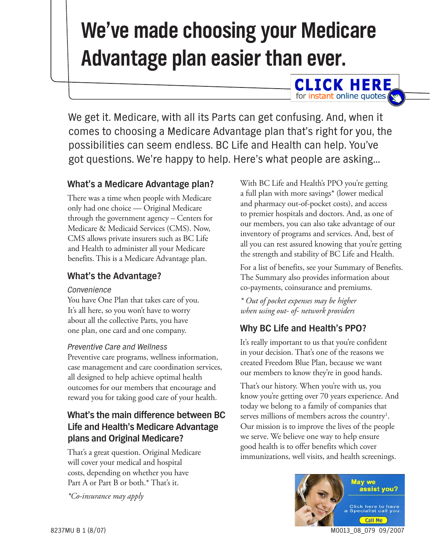# **We've made choosing your Medicare Advantage plan easier than ever.**

We get it. Medicare, with all its Parts can get confusing. And, when it comes to choosing a Medicare Advantage plan that's right for you, the possibilities can seem endless. BC Life and Health can help. You've got questions. We're happy to help. Here's what people are asking…

### **What's a Medicare Advantage plan?**

There was a time when people with Medicare only had one choice — Original Medicare through the government agency – Centers for Medicare & Medicaid Services (CMS). Now, CMS allows private insurers such as BC Life and Health to administer all your Medicare benefits. This is a Medicare Advantage plan.

#### **What's the Advantage?**

#### *Convenience*

You have One Plan that takes care of you. It's all here, so you won't have to worry about all the collective Parts, you have one plan, one card and one company.

#### *Preventive Care and Wellness*

Preventive care programs, wellness information, case management and care coordination services, all designed to help achieve optimal health outcomes for our members that encourage and reward you for taking good care of your health.

## **What's the main difference between BC Life and Health's Medicare Advantage plans and Original Medicare?**

That's a great question. Original Medicare will cover your medical and hospital costs, depending on whether you have Part A or Part B or both.\* That's it.

*\*Co-insurance may apply*

With BC Life and Health's PPO you're getting a full plan with more savings\* (lower medical and pharmacy out-of-pocket costs), and access to premier hospitals and doctors. And, as one of our members, you can also take advantage of our inventory of programs and services. And, best of all you can rest assured knowing that you're getting the strength and stability of BC Life and Health.

**CLICK HERE** for instant online quotes

For a list of benefits, see your Summary of Benefits. The Summary also provides information about co-payments, coinsurance and premiums.

*\* Out of pocket expenses may be higher when using out- of- network providers*

## **Why BC Life and Health's PPO?**

It's really important to us that you're confident in your decision. That's one of the reasons we created Freedom Blue Plan, because we want our members to know they're in good hands.

That's our history. When you're with us, you know you're getting over 70 years experience. And today we belong to a family of companies that serves millions of members across the country<sup>1</sup>. Our mission is to improve the lives of the people we serve. We believe one way to help ensure good health is to offer benefits which cover immunizations, well visits, and health screenings.

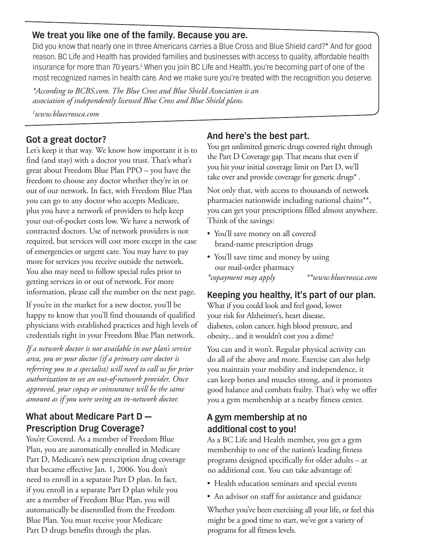#### **We treat you like one of the family. Because you are.**

Did you know that nearly one in three Americans carries a Blue Cross and Blue Shield card?\* And for good reason. BC Life and Health has provided families and businesses with access to quality, affordable health insurance for more than 70 years.<sup>1</sup> When you join BC Life and Health, you're becoming part of one of the most recognized names in health care. And we make sure you're treated with the recognition you deserve.

*\*According to BCBS.com. The Blue Cross and Blue Shield Association is an association of independently licensed Blue Cross and Blue Shield plans.*

*1 www.bluecrossca.com*

#### **Got a great doctor?**

Let's keep it that way. We know how important it is to find (and stay) with a doctor you trust. That's what's great about Freedom Blue Plan PPO – you have the freedom to choose any doctor whether they're in or out of our network. In fact, with Freedom Blue Plan you can go to any doctor who accepts Medicare, plus you have a network of providers to help keep your out-of-pocket costs low. We have a network of contracted doctors. Use of network providers is not required, but services will cost more except in the case of emergencies or urgent care. You may have to pay more for services you receive outside the network. You also may need to follow special rules prior to getting services in or out of network. For more information, please call the number on the next page.

If you're in the market for a new doctor, you'll be happy to know that you'll find thousands of qualified physicians with established practices and high levels of credentials right in your Freedom Blue Plan network.

*If a network doctor is not available in our plan's service area, you or your doctor (if a primary care doctor is referring you to a specialist) will need to call us for prior authorization to see an out-of-network provider. Once approved, your copay or coinsurance will be the same amount as if you were seeing an in-network doctor.*

### **What about Medicare Part D — Prescription Drug Coverage?**

You're Covered. As a member of Freedom Blue Plan, you are automatically enrolled in Medicare Part D, Medicare's new prescription drug coverage that became effective Jan. 1, 2006. You don't need to enroll in a separate Part D plan. In fact, if you enroll in a separate Part D plan while you are a member of Freedom Blue Plan, you will automatically be disenrolled from the Freedom Blue Plan. You must receive your Medicare Part D drugs benefits through the plan.

## **And here's the best part.**

You get unlimited generic drugs covered right through the Part D Coverage gap. That means that even if you hit your initial coverage limit on Part D, we'll take over and provide coverage for generic drugs\* .

Not only that, with access to thousands of network pharmacies nationwide including national chains\*\*, you can get your prescriptions filled almost anywhere. Think of the savings:

- You'll save money on all covered brand-name prescription drugs
- You'll save time and money by using our mail-order pharmacy

*\*copayment may apply \*\*www.bluecrossca.com*

#### **Keeping you healthy, it's part of our plan.**

What if you could look and feel good, lower your risk for Alzheimer's, heart disease, diabetes, colon cancer, high blood pressure, and obesity... and it wouldn't cost you a dime?

You can and it won't. Regular physical activity can do all of the above and more. Exercise can also help you maintain your mobility and independence, it can keep bones and muscles strong, and it promotes good balance and combats frailty. That's why we offer you a gym membership at a nearby fitness center.

### **A gym membership at no additional cost to you!**

As a BC Life and Health member, you get a gym membership to one of the nation's leading fitness programs designed specifically for older adults – at no additional cost. You can take advantage of:

- Health education seminars and special events
- An advisor on staff for assistance and guidance

Whether you've been exercising all your life, or feel this might be a good time to start, we've got a variety of programs for all fitness levels.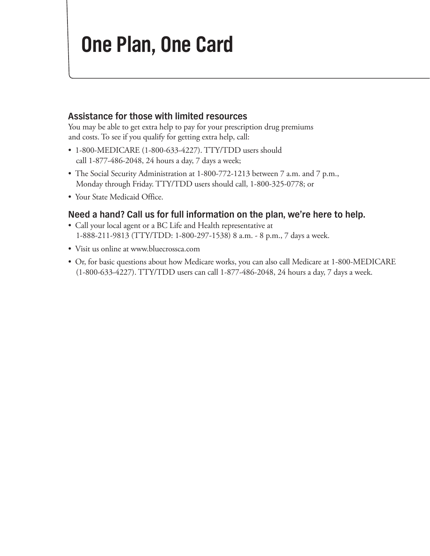## **One Plan, One Card**

#### **Assistance for those with limited resources**

You may be able to get extra help to pay for your prescription drug premiums and costs. To see if you qualify for getting extra help, call:

- 1-800-MEDICARE (1-800-633-4227). TTY/TDD users should call 1-877-486-2048, 24 hours a day, 7 days a week;
- The Social Security Administration at 1-800-772-1213 between 7 a.m. and 7 p.m., Monday through Friday. TTY/TDD users should call, 1-800-325-0778; or
- Your State Medicaid Office.

#### **Need a hand? Call us for full information on the plan, we're here to help.**

- Call your local agent or a BC Life and Health representative at 1-888-211-9813 (TTY/TDD: 1-800-297-1538) 8 a.m. - 8 p.m., 7 days a week.
- Visit us online at www.bluecrossca.com
- Or, for basic questions about how Medicare works, you can also call Medicare at 1-800-MEDICARE (1-800-633-4227). TTY/TDD users can call 1-877-486-2048, 24 hours a day, 7 days a week.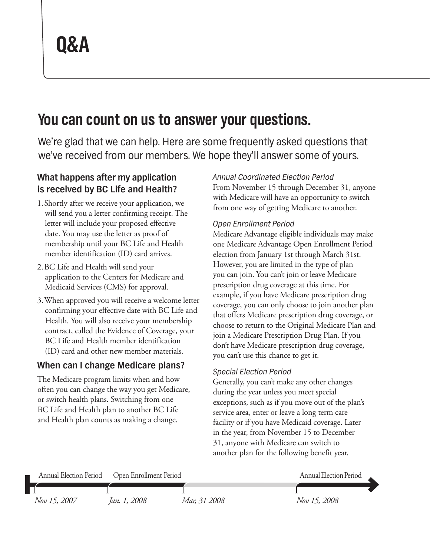## **You can count on us to answer your questions.**

We're glad that we can help. Here are some frequently asked questions that we've received from our members. We hope they'll answer some of yours.

## **What happens after my application is received by BC Life and Health?**

- 1. Shortly after we receive your application, we will send you a letter confirming receipt. The letter will include your proposed effective date. You may use the letter as proof of membership until your BC Life and Health member identification (ID) card arrives.
- 2. BC Life and Health will send your application to the Centers for Medicare and Medicaid Services (CMS) for approval.
- 3. When approved you will receive a welcome letter confirming your effective date with BC Life and Health. You will also receive your membership contract, called the Evidence of Coverage, your BC Life and Health member identification (ID) card and other new member materials.

## **When can I change Medicare plans?**

The Medicare program limits when and how often you can change the way you get Medicare, or switch health plans. Switching from one BC Life and Health plan to another BC Life and Health plan counts as making a change.

#### *Annual Coordinated Election Period*

From November 15 through December 31, anyone with Medicare will have an opportunity to switch from one way of getting Medicare to another.

#### *Open Enrollment Period*

Medicare Advantage eligible individuals may make one Medicare Advantage Open Enrollment Period election from January 1st through March 31st. However, you are limited in the type of plan you can join. You can't join or leave Medicare prescription drug coverage at this time. For example, if you have Medicare prescription drug coverage, you can only choose to join another plan that offers Medicare prescription drug coverage, or choose to return to the Original Medicare Plan and join a Medicare Prescription Drug Plan. If you don't have Medicare prescription drug coverage, you can't use this chance to get it.

#### *Special Election Period*

Generally, you can't make any other changes during the year unless you meet special exceptions, such as if you move out of the plan's service area, enter or leave a long term care facility or if you have Medicaid coverage. Later in the year, from November 15 to December 31, anyone with Medicare can switch to another plan for the following benefit year.

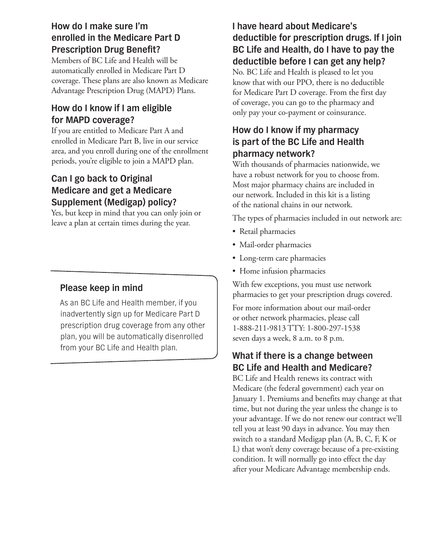## **How do I make sure I'm enrolled in the Medicare Part D Prescription Drug Benefit?**

Members of BC Life and Health will be automatically enrolled in Medicare Part D coverage. These plans are also known as Medicare Advantage Prescription Drug (MAPD) Plans.

## **How do I know if I am eligible for MAPD coverage?**

If you are entitled to Medicare Part A and enrolled in Medicare Part B, live in our service area, and you enroll during one of the enrollment periods, you're eligible to join a MAPD plan.

## **Can I go back to Original Medicare and get a Medicare Supplement (Medigap) policy?**

Yes, but keep in mind that you can only join or leave a plan at certain times during the year.

## **Please keep in mind**

As an BC Life and Health member, if you inadvertently sign up for Medicare Part D prescription drug coverage from any other plan, you will be automatically disenrolled from your BC Life and Health plan.

## **I have heard about Medicare's deductible for prescription drugs. If I join BC Life and Health, do I have to pay the deductible before I can get any help?**

No. BC Life and Health is pleased to let you know that with our PPO, there is no deductible for Medicare Part D coverage. From the first day of coverage, you can go to the pharmacy and only pay your co-payment or coinsurance.

## **How do I know if my pharmacy is part of the BC Life and Health pharmacy network?**

With thousands of pharmacies nationwide, we have a robust network for you to choose from. Most major pharmacy chains are included in our network. Included in this kit is a listing of the national chains in our network.

The types of pharmacies included in out network are:

- Retail pharmacies
- Mail-order pharmacies
- • Long-term care pharmacies
- Home infusion pharmacies

With few exceptions, you must use network pharmacies to get your prescription drugs covered.

For more information about our mail-order or other network pharmacies, please call 1-888-211-9813 TTY: 1-800-297-1538 seven days a week, 8 a.m. to 8 p.m.

## **What if there is a change between BC Life and Health and Medicare?**

BC Life and Health renews its contract with Medicare (the federal government) each year on January 1. Premiums and benefits may change at that time, but not during the year unless the change is to your advantage. If we do not renew our contract we'll tell you at least 90 days in advance. You may then switch to a standard Medigap plan (A, B, C, F, K or L) that won't deny coverage because of a pre-existing condition. It will normally go into effect the day after your Medicare Advantage membership ends.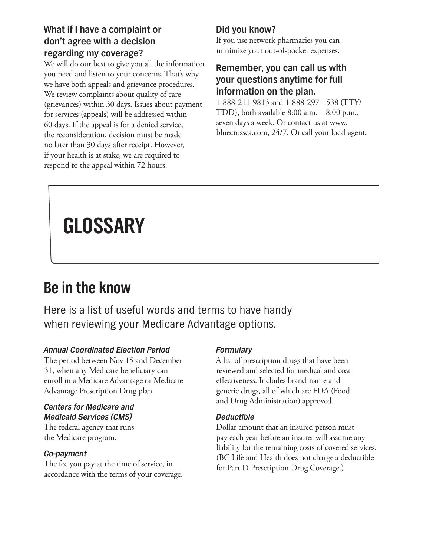## **What if I have a complaint or don't agree with a decision regarding my coverage?**

We will do our best to give you all the information you need and listen to your concerns. That's why we have both appeals and grievance procedures. We review complaints about quality of care (grievances) within 30 days. Issues about payment for services (appeals) will be addressed within 60 days. If the appeal is for a denied service, the reconsideration, decision must be made no later than 30 days after receipt. However, if your health is at stake, we are required to respond to the appeal within 72 hours.

## **Did you know?**

If you use network pharmacies you can minimize your out-of-pocket expenses.

### **Remember, you can call us with your questions anytime for full information on the plan.**

1-888-211-9813 and 1-888-297-1538 (TTY/ TDD), both available  $8:00$  a.m.  $-8:00$  p.m., seven days a week. Or contact us at www. bluecrossca.com, 24/7. Or call your local agent.

# **GLOSSARY**

## **Be in the know**

Here is a list of useful words and terms to have handy when reviewing your Medicare Advantage options.

#### *Annual Coordinated Election Period*

The period between Nov 15 and December 31, when any Medicare beneficiary can enroll in a Medicare Advantage or Medicare Advantage Prescription Drug plan.

#### *Centers for Medicare and Medicaid Services (CMS)*

The federal agency that runs the Medicare program.

#### *Co-payment*

The fee you pay at the time of service, in accordance with the terms of your coverage.

#### *Formulary*

A list of prescription drugs that have been reviewed and selected for medical and costeffectiveness. Includes brand-name and generic drugs, all of which are FDA (Food and Drug Administration) approved.

#### *Deductible*

Dollar amount that an insured person must pay each year before an insurer will assume any liability for the remaining costs of covered services. (BC Life and Health does not charge a deductible for Part D Prescription Drug Coverage.)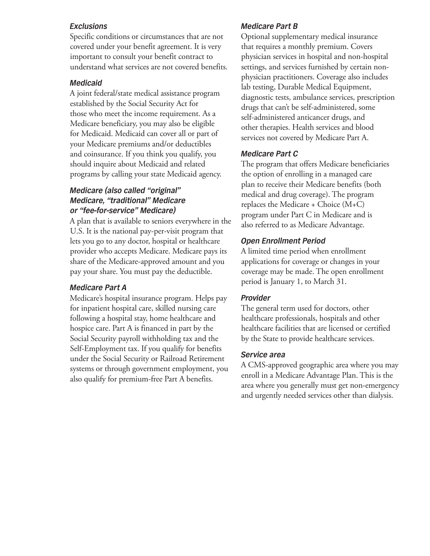#### *Exclusions*

Specific conditions or circumstances that are not covered under your benefit agreement. It is very important to consult your benefit contract to understand what services are not covered benefits.

#### *Medicaid*

A joint federal/state medical assistance program established by the Social Security Act for those who meet the income requirement. As a Medicare beneficiary, you may also be eligible for Medicaid. Medicaid can cover all or part of your Medicare premiums and/or deductibles and coinsurance. If you think you qualify, you should inquire about Medicaid and related programs by calling your state Medicaid agency.

#### *Medicare (also called "original" Medicare, "traditional" Medicare or "fee-for-service" Medicare)*

A plan that is available to seniors everywhere in the U.S. It is the national pay-per-visit program that lets you go to any doctor, hospital or healthcare provider who accepts Medicare. Medicare pays its share of the Medicare-approved amount and you pay your share. You must pay the deductible.

#### *Medicare Part A*

Medicare's hospital insurance program. Helps pay for inpatient hospital care, skilled nursing care following a hospital stay, home healthcare and hospice care. Part A is financed in part by the Social Security payroll withholding tax and the Self-Employment tax. If you qualify for benefits under the Social Security or Railroad Retirement systems or through government employment, you also qualify for premium-free Part A benefits.

#### *Medicare Part B*

Optional supplementary medical insurance that requires a monthly premium. Covers physician services in hospital and non-hospital settings, and services furnished by certain nonphysician practitioners. Coverage also includes lab testing, Durable Medical Equipment, diagnostic tests, ambulance services, prescription drugs that can't be self-administered, some self-administered anticancer drugs, and other therapies. Health services and blood services not covered by Medicare Part A.

#### *Medicare Part C*

The program that offers Medicare beneficiaries the option of enrolling in a managed care plan to receive their Medicare benefits (both medical and drug coverage). The program replaces the Medicare + Choice (M+C) program under Part C in Medicare and is also referred to as Medicare Advantage.

#### *Open Enrollment Period*

A limited time period when enrollment applications for coverage or changes in your coverage may be made. The open enrollment period is January 1, to March 31.

#### *Provider*

The general term used for doctors, other healthcare professionals, hospitals and other healthcare facilities that are licensed or certified by the State to provide healthcare services.

#### *Service area*

A CMS-approved geographic area where you may enroll in a Medicare Advantage Plan. This is the area where you generally must get non-emergency and urgently needed services other than dialysis.